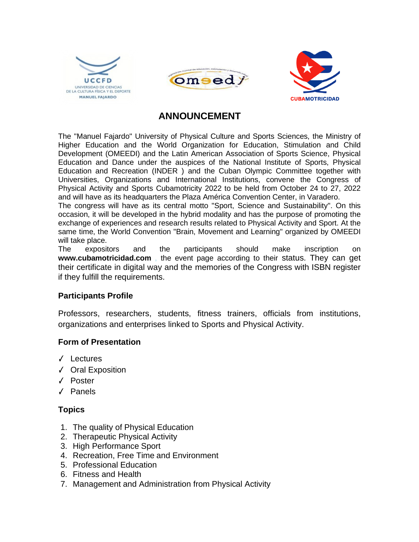





# **ANNOUNCEMENT**

The "Manuel Fajardo" University of Physical Culture and Sports Sciences, the Ministry of Higher Education and the World Organization for Education, Stimulation and Child Development (OMEEDI) and the Latin American Association of Sports Science, Physical Education and Dance under the auspices of the National Institute of Sports, Physical Education and Recreation (INDER ) and the Cuban Olympic Committee together with Universities, Organizations and International Institutions, convene the Congress of Physical Activity and Sports Cubamotricity 2022 to be held from October 24 to 27, 2022 and will have as its headquarters the Plaza América Convention Center, in Varadero.

The congress will have as its central motto "Sport, Science and Sustainability". On this occasion, it will be developed in the hybrid modality and has the purpose of promoting the exchange of experiences and research results related to Physical Activity and Sport. At the same time, the World Convention "Brain, Movement and Learning" organized by OMEEDI will take place.

The expositors and the participants should make inscription on **[www.cubamotricidad.com](http://www.cubamotricidad.com/)** , the event page according to their status. They can get their certificate in digital way and the memories of the Congress with ISBN register if they fulfill the requirements.

## **Participants Profile**

Professors, researchers, students, fitness trainers, officials from institutions, organizations and enterprises linked to Sports and Physical Activity.

#### **Form of Presentation**

- ✓ Lectures
- ✓ Oral Exposition
- ✓ Poster
- ✓ Panels

## **Topics**

- 1. The quality of Physical Education
- 2. Therapeutic Physical Activity
- 3. High Performance Sport
- 4. Recreation, Free Time and Environment
- 5. Professional Education
- 6. Fitness and Health
- 7. Management and Administration from Physical Activity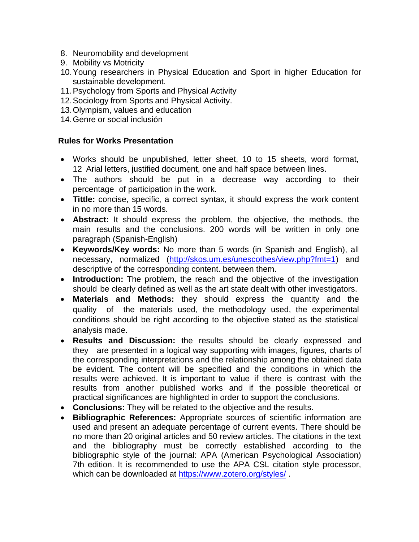- 8. Neuromobility and development
- 9. Mobility vs Motricity
- 10.Young researchers in Physical Education and Sport in higher Education for sustainable development.
- 11.Psychology from Sports and Physical Activity
- 12.Sociology from Sports and Physical Activity.
- 13.Olympism, values and education
- 14.Genre or social inclusión

### **Rules for Works Presentation**

- Works should be unpublished, letter sheet, 10 to 15 sheets, word format, 12 Arial letters, justified document, one and half space between lines.
- The authors should be put in a decrease way according to their percentage of participation in the work.
- **Tittle:** concise, specific, a correct syntax, it should express the work content in no more than 15 words.
- **Abstract:** It should express the problem, the objective, the methods, the main results and the conclusions. 200 words will be written in only one paragraph (Spanish-English)
- **Keywords/Key words:** No more than 5 words (in Spanish and English), all necessary, normalized [\(http://skos.um.es/unescothes/view.php?fmt=1\)](http://skos.um.es/unescothes/view.php?fmt=1) and descriptive of the corresponding content. between them.
- **Introduction:** The problem, the reach and the objective of the investigation should be clearly defined as well as the art state dealt with other investigators.
- **Materials and Methods:** they should express the quantity and the quality of the materials used, the methodology used, the experimental conditions should be right according to the objective stated as the statistical analysis made.
- **Results and Discussion:** the results should be clearly expressed and they are presented in a logical way supporting with images, figures, charts of the corresponding interpretations and the relationship among the obtained data be evident. The content will be specified and the conditions in which the results were achieved. It is important to value if there is contrast with the results from another published works and if the possible theoretical or practical significances are highlighted in order to support the conclusions.
- **Conclusions:** They will be related to the objective and the results.
- **Bibliographic References:** Appropriate sources of scientific information are used and present an adequate percentage of current events. There should be no more than 20 original articles and 50 review articles. The citations in the text and the bibliography must be correctly established according to the bibliographic style of the journal: APA (American Psychological Association) 7th edition. It is recommended to use the APA CSL citation style processor, which can be downloaded at<https://www.zotero.org/styles/> .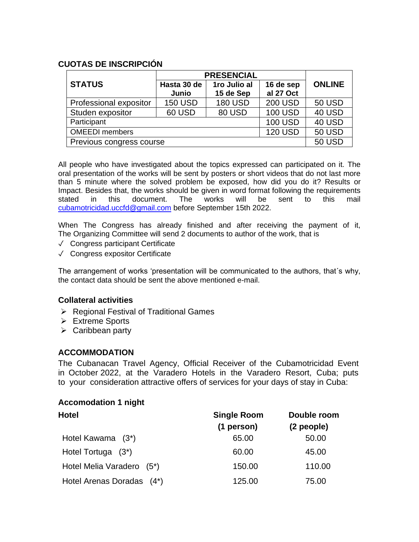## **CUOTAS DE INSCRIPCIÓN**

|                          | <b>PRESENCIAL</b> |                |                |               |
|--------------------------|-------------------|----------------|----------------|---------------|
| <b>STATUS</b>            | Hasta 30 de       | 1ro Julio al   | 16 de sep      | <b>ONLINE</b> |
|                          | Junio             | 15 de Sep      | al 27 Oct      |               |
| Professional expositor   | <b>150 USD</b>    | <b>180 USD</b> | <b>200 USD</b> | <b>50 USD</b> |
| Studen expositor         | <b>60 USD</b>     | 80 USD         | <b>100 USD</b> | 40 USD        |
| Participant              |                   |                | <b>100 USD</b> | 40 USD        |
| <b>OMEEDI</b> members    |                   |                | <b>120 USD</b> | <b>50 USD</b> |
| Previous congress course |                   |                |                | <b>50 USD</b> |

All people who have investigated about the topics expressed can participated on it. The oral presentation of the works will be sent by posters or short videos that do not last more than 5 minute where the solved problem be exposed, how did you do it? Results or Impact. Besides that, the works should be given in word format following the requirements stated in this document. The works will be sent to this mail [cubamotricidad.uccfd@gmail.com](mailto:%20cubamotricidad.uccfd@gmail.com) before September 15th 2022.

When The Congress has already finished and after receiving the payment of it, The Organizing Committee will send 2 documents to author of the work, that is

- ✓ Congress participant Certificate
- ✓ Congress expositor Certificate

The arrangement of works 'presentation will be communicated to the authors, that´s why, the contact data should be sent the above mentioned e-mail.

#### **Collateral activities**

- ➢ Regional Festival of Traditional Games
- ➢ Extreme Sports
- $\triangleright$  Caribbean party

#### **ACCOMMODATION**

The Cubanacan Travel Agency, Official Receiver of the Cubamotricidad Event in October 2022, at the Varadero Hotels in the Varadero Resort, Cuba; puts to your consideration attractive offers of services for your days of stay in Cuba:

#### **Accomodation 1 night**

| Hotel                     | <b>Single Room</b><br>(1 person) | Double room<br>(2 people) |
|---------------------------|----------------------------------|---------------------------|
| Hotel Kawama (3*)         | 65.00                            | 50.00                     |
| Hotel Tortuga (3*)        | 60.00                            | 45.00                     |
| Hotel Melia Varadero (5*) | 150.00                           | 110.00                    |
| Hotel Arenas Doradas (4*) | 125.00                           | 75.00                     |